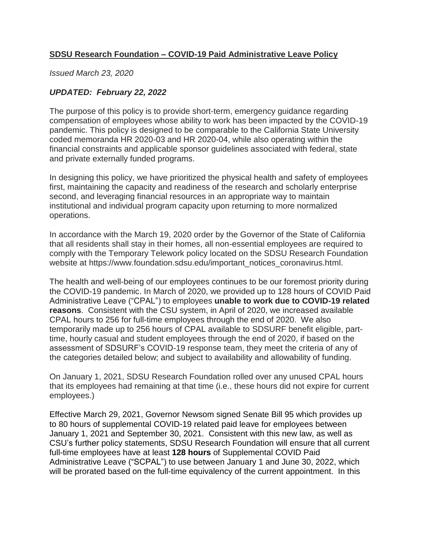# **SDSU Research Foundation – COVID-19 Paid Administrative Leave Policy**

*Issued March 23, 2020* 

# *UPDATED: February 22, 2022*

The purpose of this policy is to provide short-term, emergency guidance regarding compensation of employees whose ability to work has been impacted by the COVID-19 pandemic. This policy is designed to be comparable to the California State University coded memoranda HR 2020-03 and HR 2020-04, while also operating within the financial constraints and applicable sponsor guidelines associated with federal, state and private externally funded programs.

In designing this policy, we have prioritized the physical health and safety of employees first, maintaining the capacity and readiness of the research and scholarly enterprise second, and leveraging financial resources in an appropriate way to maintain institutional and individual program capacity upon returning to more normalized operations.

In accordance with the March 19, 2020 order by the Governor of the State of California that all residents shall stay in their homes, all non-essential employees are required to comply with the Temporary Telework policy located on the SDSU Research Foundation website at [https://www.foundation.sdsu.edu/important\\_notices\\_coronavirus.html.](https://www.foundation.sdsu.edu/important_notices_coronavirus.html)

The health and well-being of our employees continues to be our foremost priority during the COVID-19 pandemic. In March of 2020, we provided up to 128 hours of COVID Paid Administrative Leave ("CPAL") to employees **unable to work due to COVID-19 related reasons**. Consistent with the CSU system, in April of 2020, we increased available CPAL hours to 256 for full-time employees through the end of 2020. We also temporarily made up to 256 hours of CPAL available to SDSURF benefit eligible, parttime, hourly casual and student employees through the end of 2020, if based on the assessment of SDSURF's COVID-19 response team, they meet the criteria of any of the categories detailed below; and subject to availability and allowability of funding.

On January 1, 2021, SDSU Research Foundation rolled over any unused CPAL hours that its employees had remaining at that time (i.e., these hours did not expire for current employees.)

Effective March 29, 2021, Governor Newsom signed Senate Bill 95 which provides up to 80 hours of supplemental COVID-19 related paid leave for employees between January 1, 2021 and September 30, 2021. Consistent with this new law, as well as CSU's further policy statements, SDSU Research Foundation will ensure that all current full-time employees have at least **128 hours** of Supplemental COVID Paid Administrative Leave ("SCPAL") to use between January 1 and June 30, 2022, which will be prorated based on the full-time equivalency of the current appointment. In this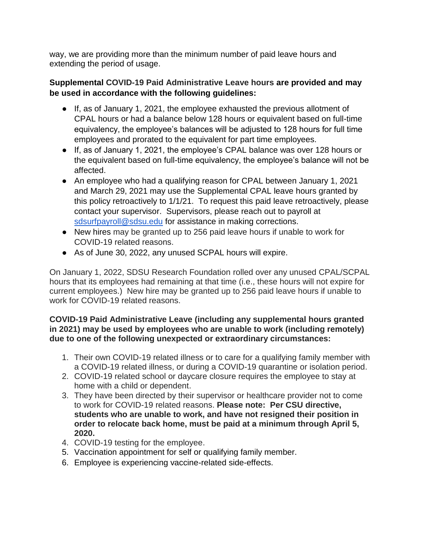way, we are providing more than the minimum number of paid leave hours and extending the period of usage.

## **Supplemental COVID-19 Paid Administrative Leave hours are provided and may be used in accordance with the following guidelines:**

- If, as of January 1, 2021, the employee exhausted the previous allotment of CPAL hours or had a balance below 128 hours or equivalent based on full-time equivalency, the employee's balances will be adjusted to 128 hours for full time employees and prorated to the equivalent for part time employees.
- If, as of January 1, 2021, the employee's CPAL balance was over 128 hours or the equivalent based on full-time equivalency, the employee's balance will not be affected.
- An employee who had a qualifying reason for CPAL between January 1, 2021 and March 29, 2021 may use the Supplemental CPAL leave hours granted by this policy retroactively to 1/1/21. To request this paid leave retroactively, please contact your supervisor. Supervisors, please reach out to payroll at [sdsurfpayroll@sdsu.edu](mailto:sdsurfpayroll@sdsu.edu) for assistance in making corrections.
- New hires may be granted up to 256 paid leave hours if unable to work for COVID-19 related reasons.
- As of June 30, 2022, any unused SCPAL hours will expire.

On January 1, 2022, SDSU Research Foundation rolled over any unused CPAL/SCPAL hours that its employees had remaining at that time (i.e., these hours will not expire for current employees.) New hire may be granted up to 256 paid leave hours if unable to work for COVID-19 related reasons.

## **COVID-19 Paid Administrative Leave (including any supplemental hours granted in 2021) may be used by employees who are unable to work (including remotely) due to one of the following unexpected or extraordinary circumstances:**

- 1. Their own COVID-19 related illness or to care for a qualifying family member with a COVID-19 related illness, or during a COVID-19 quarantine or isolation period.
- 2. COVID-19 related school or daycare closure requires the employee to stay at home with a child or dependent.
- 3. They have been directed by their supervisor or healthcare provider not to come to work for COVID-19 related reasons. **Please note: Per CSU directive, students who are unable to work, and have not resigned their position in order to relocate back home, must be paid at a minimum through April 5, 2020.**
- 4. COVID-19 testing for the employee.
- 5. Vaccination appointment for self or qualifying family member.
- 6. Employee is experiencing vaccine-related side-effects.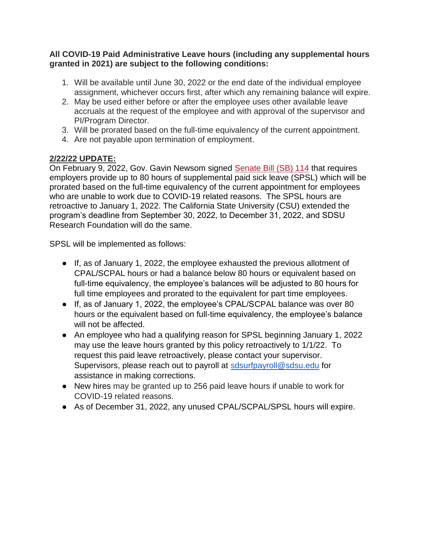### **All COVID-19 Paid Administrative Leave hours (including any supplemental hours granted in 2021) are subject to the following conditions:**

- 1. Will be available until June 30, 2022 or the end date of the individual employee assignment, whichever occurs first, after which any remaining balance will expire.
- 2. May be used either before or after the employee uses other available leave accruals at the request of the employee and with approval of the supervisor and PI/Program Director.
- 3. Will be prorated based on the full-time equivalency of the current appointment.
- 4. Are not payable upon termination of employment.

# **2/22/22 UPDATE:**

On February 9, 2022, Gov. Gavin Newsom signed [Senate Bill \(SB\) 114](http://click.comms.sdsu.edu/?qs=04f4e0373c75c3c8770d818c7aeef15be56ccc2a3f5cde81b6bee98a118cab72554ab8fe6889d98836bb03123c44d8f1966c5f96f53c974f) that requires employers provide up to 80 hours of supplemental paid sick leave (SPSL) which will be prorated based on the full-time equivalency of the current appointment for employees who are unable to work due to COVID-19 related reasons. The SPSL hours are retroactive to January 1, 2022. The California State University (CSU) extended the program's deadline from September 30, 2022, to December 31, 2022, and SDSU Research Foundation will do the same.

SPSL will be implemented as follows:

- If, as of January 1, 2022, the employee exhausted the previous allotment of CPAL/SCPAL hours or had a balance below 80 hours or equivalent based on full-time equivalency, the employee's balances will be adjusted to 80 hours for full time employees and prorated to the equivalent for part time employees.
- If, as of January 1, 2022, the employee's CPAL/SCPAL balance was over 80 hours or the equivalent based on full-time equivalency, the employee's balance will not be affected.
- An employee who had a qualifying reason for SPSL beginning January 1, 2022 may use the leave hours granted by this policy retroactively to 1/1/22. To request this paid leave retroactively, please contact your supervisor. Supervisors, please reach out to payroll at [sdsurfpayroll@sdsu.edu](mailto:sdsurfpayroll@sdsu.edu) for assistance in making corrections.
- New hires may be granted up to 256 paid leave hours if unable to work for COVID-19 related reasons.
- As of December 31, 2022, any unused CPAL/SCPAL/SPSL hours will expire.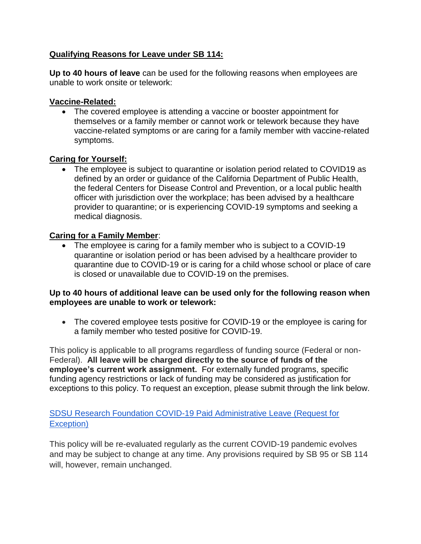# **Qualifying Reasons for Leave under SB 114:**

**Up to 40 hours of leave** can be used for the following reasons when employees are unable to work onsite or telework:

#### **Vaccine-Related:**

• The covered employee is attending a vaccine or booster appointment for themselves or a family member or cannot work or telework because they have vaccine-related symptoms or are caring for a family member with vaccine-related symptoms.

#### **Caring for Yourself:**

 The employee is subject to quarantine or isolation period related to COVID19 as defined by an order or guidance of the California Department of Public Health, the federal Centers for Disease Control and Prevention, or a local public health officer with jurisdiction over the workplace; has been advised by a healthcare provider to quarantine; or is experiencing COVID-19 symptoms and seeking a medical diagnosis.

#### **Caring for a Family Member**:

 The employee is caring for a family member who is subject to a COVID-19 quarantine or isolation period or has been advised by a healthcare provider to quarantine due to COVID-19 or is caring for a child whose school or place of care is closed or unavailable due to COVID-19 on the premises.

#### **Up to 40 hours of additional leave can be used only for the following reason when employees are unable to work or telework:**

• The covered employee tests positive for COVID-19 or the employee is caring for a family member who tested positive for COVID-19.

This policy is applicable to all programs regardless of funding source (Federal or non-Federal). **All leave will be charged directly to the source of funds of the employee's current work assignment.** For externally funded programs, specific funding agency restrictions or lack of funding may be considered as justification for exceptions to this policy. To request an exception, please submit through the link below.

## [SDSU Research Foundation COVID-19 Paid Administrative Leave \(Request for](https://docs.google.com/forms/d/e/1FAIpQLSfsQFeP0xLh4pjzPRLfKT3wZGZxfdDZxCPJstXArAdTXUBQVg/viewform)  [Exception\)](https://docs.google.com/forms/d/e/1FAIpQLSfsQFeP0xLh4pjzPRLfKT3wZGZxfdDZxCPJstXArAdTXUBQVg/viewform)

This policy will be re-evaluated regularly as the current COVID-19 pandemic evolves and may be subject to change at any time. Any provisions required by SB 95 or SB 114 will, however, remain unchanged.